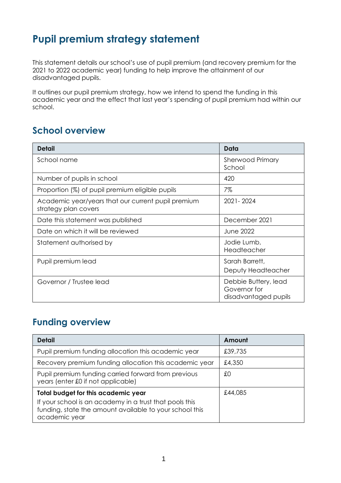# **Pupil premium strategy statement**

This statement details our school's use of pupil premium (and recovery premium for the 2021 to 2022 academic year) funding to help improve the attainment of our disadvantaged pupils.

It outlines our pupil premium strategy, how we intend to spend the funding in this academic year and the effect that last year's spending of pupil premium had within our school.

# **School overview**

| <b>Detail</b>                                                              | Data                                                         |
|----------------------------------------------------------------------------|--------------------------------------------------------------|
| School name                                                                | <b>Sherwood Primary</b><br>School                            |
| Number of pupils in school                                                 | 420                                                          |
| Proportion (%) of pupil premium eligible pupils                            | 7%                                                           |
| Academic year/years that our current pupil premium<br>strategy plan covers | 2021 - 2024                                                  |
| Date this statement was published                                          | December 2021                                                |
| Date on which it will be reviewed                                          | June 2022                                                    |
| Statement authorised by                                                    | Jodie Lumb,<br>Headteacher                                   |
| Pupil premium lead                                                         | Sarah Barrett,<br>Deputy Headteacher                         |
| Governor / Trustee lead                                                    | Debbie Buttery, lead<br>Governor for<br>disadvantaged pupils |

### **Funding overview**

| <b>Detail</b>                                                                                                                                                                     | Amount  |
|-----------------------------------------------------------------------------------------------------------------------------------------------------------------------------------|---------|
| Pupil premium funding allocation this academic year                                                                                                                               | £39,735 |
| Recovery premium funding allocation this academic year                                                                                                                            | £4,350  |
| Pupil premium funding carried forward from previous<br>years (enter £0 if not applicable)                                                                                         | £0      |
| <b>Total budget for this academic year</b><br>If your school is an academy in a trust that pools this<br>funding, state the amount available to your school this<br>academic year | £44,085 |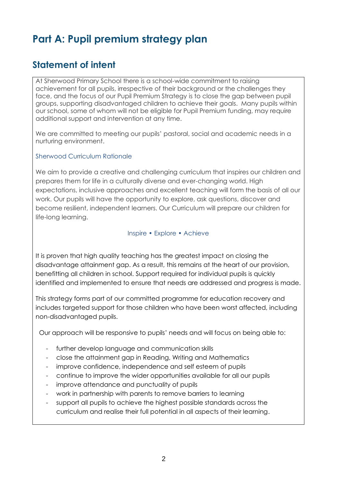# **Part A: Pupil premium strategy plan**

## **Statement of intent**

At Sherwood Primary School there is a school-wide commitment to raising achievement for all pupils, irrespective of their background or the challenges they face, and the focus of our Pupil Premium Strategy is to close the gap between pupil groups, supporting disadvantaged children to achieve their goals. Many pupils within our school, some of whom will not be eligible for Pupil Premium funding, may require additional support and intervention at any time.

We are committed to meeting our pupils' pastoral, social and academic needs in a nurturing environment.

#### Sherwood Curriculum Rationale

We aim to provide a creative and challenging curriculum that inspires our children and prepares them for life in a culturally diverse and ever-changing world. High expectations, inclusive approaches and excellent teaching will form the basis of all our work. Our pupils will have the opportunity to explore, ask questions, discover and become resilient, independent learners. Our Curriculum will prepare our children for life-long learning.

#### Inspire • Explore • Achieve

It is proven that high quality teaching has the greatest impact on closing the disadvantage attainment gap. As a result, this remains at the heart of our provision, benefitting all children in school. Support required for individual pupils is quickly identified and implemented to ensure that needs are addressed and progress is made.

This strategy forms part of our committed programme for education recovery and includes targeted support for those children who have been worst affected, including non-disadvantaged pupils.

Our approach will be responsive to pupils' needs and will focus on being able to:

- further develop language and communication skills
- close the attainment gap in Reading, Writing and Mathematics
- improve confidence, independence and self esteem of pupils
- continue to improve the wider opportunities available for all our pupils
- improve attendance and punctuality of pupils
- work in partnership with parents to remove barriers to learning
- support all pupils to achieve the highest possible standards across the curriculum and realise their full potential in all aspects of their learning.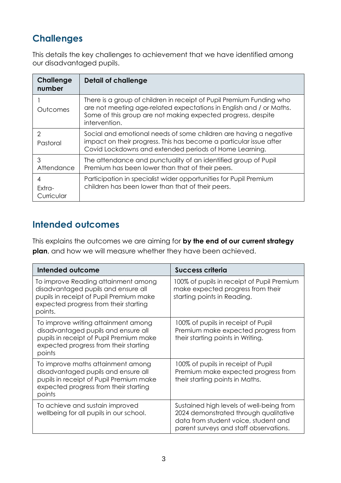## **Challenges**

This details the key challenges to achievement that we have identified among our disadvantaged pupils.

| <b>Challenge</b><br>number  | Detail of challenge                                                                                                                                                                                                          |
|-----------------------------|------------------------------------------------------------------------------------------------------------------------------------------------------------------------------------------------------------------------------|
| Outcomes                    | There is a group of children in receipt of Pupil Premium Funding who<br>are not meeting age-related expectations in English and / or Maths.<br>Some of this group are not making expected progress, despite<br>intervention. |
| 2<br>Pastoral               | Social and emotional needs of some children are having a negative<br>impact on their progress. This has become a particular issue after<br>Covid Lockdowns and extended periods of Home Learning.                            |
| 3<br>Attendance             | The attendance and punctuality of an identified group of Pupil<br>Premium has been lower than that of their peers.                                                                                                           |
| 4<br>$Extra-$<br>Curricular | Participation in specialist wider opportunities for Pupil Premium<br>children has been lower than that of their peers.                                                                                                       |

## **Intended outcomes**

This explains the outcomes we are aiming for **by the end of our current strategy plan**, and how we will measure whether they have been achieved.

| Intended outcome                                                                                                                                                          | <b>Success criteria</b>                                                                                                                                             |
|---------------------------------------------------------------------------------------------------------------------------------------------------------------------------|---------------------------------------------------------------------------------------------------------------------------------------------------------------------|
| To improve Reading attainment among<br>disadvantaged pupils and ensure all<br>pupils in receipt of Pupil Premium make<br>expected progress from their starting<br>points. | 100% of pupils in receipt of Pupil Premium<br>make expected progress from their<br>starting points in Reading.                                                      |
| To improve writing attainment among<br>disadvantaged pupils and ensure all<br>pupils in receipt of Pupil Premium make<br>expected progress from their starting<br>points  | 100% of pupils in receipt of Pupil<br>Premium make expected progress from<br>their starting points in Writing.                                                      |
| To improve maths attainment among<br>disadvantaged pupils and ensure all<br>pupils in receipt of Pupil Premium make<br>expected progress from their starting<br>points    | 100% of pupils in receipt of Pupil<br>Premium make expected progress from<br>their starting points in Maths.                                                        |
| To achieve and sustain improved<br>wellbeing for all pupils in our school.                                                                                                | Sustained high levels of well-being from<br>2024 demonstrated through qualitative<br>data from student voice, student and<br>parent surveys and staff observations. |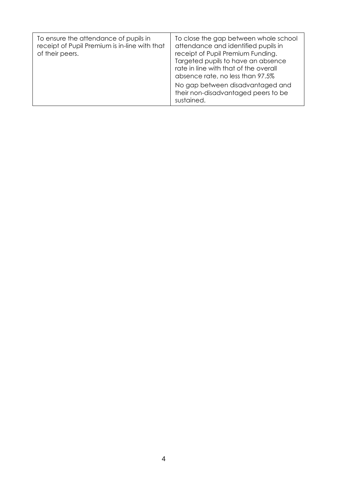| To ensure the attendance of pupils in<br>receipt of Pupil Premium is in-line with that<br>of their peers. | To close the gap between whole school<br>attendance and identified pupils in<br>receipt of Pupil Premium Funding.<br>Targeted pupils to have an absence<br>rate in line with that of the overall<br>absence rate, no less than 97.5%<br>No gap between disadvantaged and<br>their non-disadvantaged peers to be<br>sustained. |
|-----------------------------------------------------------------------------------------------------------|-------------------------------------------------------------------------------------------------------------------------------------------------------------------------------------------------------------------------------------------------------------------------------------------------------------------------------|
|-----------------------------------------------------------------------------------------------------------|-------------------------------------------------------------------------------------------------------------------------------------------------------------------------------------------------------------------------------------------------------------------------------------------------------------------------------|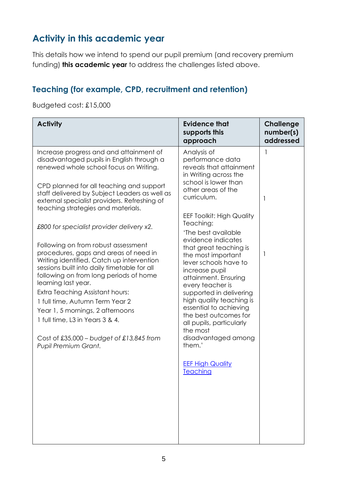# **Activity in this academic year**

This details how we intend to spend our pupil premium (and recovery premium funding) **this academic year** to address the challenges listed above.

#### **Teaching (for example, CPD, recruitment and retention)**

#### Budgeted cost: £15,000

| <b>Activity</b>                                                                                                                                                                                                                                                                                                                                                                                                                    | <b>Evidence that</b><br>supports this<br>approach                                                                                                                                                                                                                                                            | <b>Challenge</b><br>number(s)<br>addressed |
|------------------------------------------------------------------------------------------------------------------------------------------------------------------------------------------------------------------------------------------------------------------------------------------------------------------------------------------------------------------------------------------------------------------------------------|--------------------------------------------------------------------------------------------------------------------------------------------------------------------------------------------------------------------------------------------------------------------------------------------------------------|--------------------------------------------|
| Increase progress and and attainment of<br>disadvantaged pupils in English through a<br>renewed whole school focus on Writing.<br>CPD planned for all teaching and support                                                                                                                                                                                                                                                         | Analysis of<br>performance data<br>reveals that attainment<br>in Writing across the<br>school is lower than                                                                                                                                                                                                  | 1                                          |
| staff delivered by Subject Leaders as well as<br>external specialist providers. Refreshing of<br>teaching strategies and materials.                                                                                                                                                                                                                                                                                                | other areas of the<br>curriculum.<br><b>EEF Toolkit: High Quality</b>                                                                                                                                                                                                                                        | 1                                          |
| £800 for specialist provider delivery x2.                                                                                                                                                                                                                                                                                                                                                                                          | Teaching:<br>'The best available<br>evidence indicates                                                                                                                                                                                                                                                       |                                            |
| Following on from robust assessment<br>procedures, gaps and areas of need in<br>Writing identified. Catch up intervention<br>sessions built into daily timetable for all<br>following on from long periods of home<br>learning last year.<br>Extra Teaching Assistant hours:<br>1 full time, Autumn Term Year 2<br>Year 1, 5 mornings, 2 afternoons<br>1 full time, L3 in Years 3 & 4.<br>Cost of £35,000 – budget of £13,845 from | that great teaching is<br>the most important<br>lever schools have to<br>increase pupil<br>attainment. Ensuring<br>every teacher is<br>supported in delivering<br>high quality teaching is<br>essential to achieving<br>the best outcomes for<br>all pupils, particularly<br>the most<br>disadvantaged among | 1                                          |
| Pupil Premium Grant.                                                                                                                                                                                                                                                                                                                                                                                                               | them.'<br><b>EEF High Quality</b><br><b>Teaching</b>                                                                                                                                                                                                                                                         |                                            |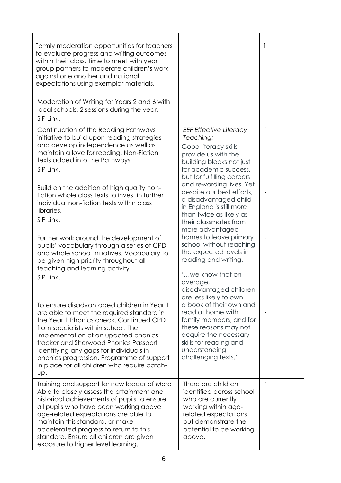| Termly moderation opportunities for teachers<br>to evaluate progress and writing outcomes<br>within their class. Time to meet with year<br>group partners to moderate children's work<br>against one another and national<br>expectations using exemplar materials.<br>Moderation of Writing for Years 2 and 6 with<br>local schools. 2 sessions during the year.<br>SIP Link.                                                                                                                                                                                                                                                                                                                                                                                                                                                                                                                                                                                                                                                     |                                                                                                                                                                                                                                                                                                                                                                                                                                                                                                                                                                                                                                                                                                                                                             | 1                           |
|------------------------------------------------------------------------------------------------------------------------------------------------------------------------------------------------------------------------------------------------------------------------------------------------------------------------------------------------------------------------------------------------------------------------------------------------------------------------------------------------------------------------------------------------------------------------------------------------------------------------------------------------------------------------------------------------------------------------------------------------------------------------------------------------------------------------------------------------------------------------------------------------------------------------------------------------------------------------------------------------------------------------------------|-------------------------------------------------------------------------------------------------------------------------------------------------------------------------------------------------------------------------------------------------------------------------------------------------------------------------------------------------------------------------------------------------------------------------------------------------------------------------------------------------------------------------------------------------------------------------------------------------------------------------------------------------------------------------------------------------------------------------------------------------------------|-----------------------------|
| Continuation of the Reading Pathways<br>initiative to build upon reading strategies<br>and develop independence as well as<br>maintain a love for reading. Non-Fiction<br>texts added into the Pathways.<br>SIP Link.<br>Build on the addition of high quality non-<br>fiction whole class texts to invest in further<br>individual non-fiction texts within class<br>libraries.<br>SIP Link.<br>Further work around the development of<br>pupils' vocabulary through a series of CPD<br>and whole school initiatives. Vocabulary to<br>be given high priority throughout all<br>teaching and learning activity<br>SIP Link.<br>To ensure disadvantaged children in Year 1<br>are able to meet the required standard in<br>the Year 1 Phonics check. Continued CPD<br>from specialists within school. The<br>implementation of an updated phonics<br>tracker and Sherwood Phonics Passport<br>identifying any gaps for individuals in<br>phonics progression. Programme of support<br>in place for all children who require catch- | <b>EEF Effective Literacy</b><br>Teaching:<br>Good literacy skills<br>provide us with the<br>building blocks not just<br>for academic success,<br>but for fulfilling careers<br>and rewarding lives. Yet<br>despite our best efforts,<br>a disadvantaged child<br>in England is still more<br>than twice as likely as<br>their classmates from<br>more advantaged<br>homes to leave primary<br>school without reaching<br>the expected levels in<br>reading and writing.<br>'we know that on<br>average,<br>disadvantaged children<br>are less likely to own<br>a book of their own and<br>read at home with<br>family members, and for<br>these reasons may not<br>acquire the necessary<br>skills for reading and<br>understanding<br>challenging texts.' | 1<br>1<br>1<br>$\mathbf{I}$ |
| Up.<br>Training and support for new leader of More<br>Able to closely assess the attainment and<br>historical achievements of pupils to ensure<br>all pupils who have been working above<br>age-related expectations are able to<br>maintain this standard, or make<br>accelerated progress to return to this<br>standard. Ensure all children are given<br>exposure to higher level learning.                                                                                                                                                                                                                                                                                                                                                                                                                                                                                                                                                                                                                                     | There are children<br>identified across school<br>who are currently<br>working within age-<br>related expectations<br>but demonstrate the<br>potential to be working<br>above.                                                                                                                                                                                                                                                                                                                                                                                                                                                                                                                                                                              | 1                           |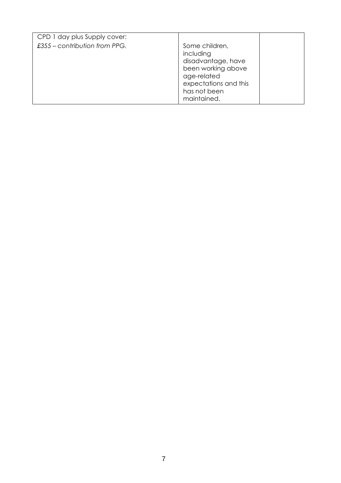| CPD 1 day plus Supply cover:    |                                                                                                                                                |  |
|---------------------------------|------------------------------------------------------------------------------------------------------------------------------------------------|--|
| $£355$ – contribution from PPG. | Some children,<br>including<br>disadvantage, have<br>been working above<br>age-related<br>expectations and this<br>has not been<br>maintained. |  |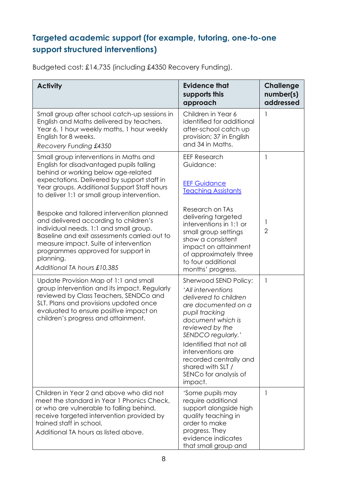### **Targeted academic support (for example, tutoring, one-to-one support structured interventions)**

| Budgeted cost: £14,735 (including £4350 Recovery Funding). |  |  |
|------------------------------------------------------------|--|--|
|------------------------------------------------------------|--|--|

| <b>Activity</b>                                                                                                                                                                                                                                                                                         | <b>Evidence that</b><br>supports this<br>approach                                                                                                                                                                                                                                                              | <b>Challenge</b><br>number(s)<br>addressed |
|---------------------------------------------------------------------------------------------------------------------------------------------------------------------------------------------------------------------------------------------------------------------------------------------------------|----------------------------------------------------------------------------------------------------------------------------------------------------------------------------------------------------------------------------------------------------------------------------------------------------------------|--------------------------------------------|
| Small group after school catch-up sessions in<br>English and Maths delivered by teachers.<br>Year 6, 1 hour weekly maths, 1 hour weekly<br>English for 8 weeks.<br>Recovery Funding £4350                                                                                                               | Children in Year 6<br>identified for additional<br>after-school catch up<br>provision; 37 in English<br>and 34 in Maths.                                                                                                                                                                                       | 1                                          |
| Small group interventions in Maths and<br>English for disadvantaged pupils falling                                                                                                                                                                                                                      | <b>EEF Research</b><br>Guidance:                                                                                                                                                                                                                                                                               | 1                                          |
| behind or working below age-related<br>expectations. Delivered by support staff in<br>Year groups. Additional Support Staff hours<br>to deliver 1:1 or small group intervention.                                                                                                                        | <b>EEF Guidance</b><br><b>Teaching Assistants</b>                                                                                                                                                                                                                                                              |                                            |
| Bespoke and tailored intervention planned<br>and delivered according to children's<br>individual needs. 1:1 and small group.<br>Baseline and exit assessments carried out to<br>measure impact. Suite of intervention<br>programmes approved for support in<br>planning.<br>Additional TA hours £10,385 | Research on TAs<br>delivering targeted<br>interventions in 1:1 or<br>small group settings<br>show a consistent<br>impact on attainment<br>of approximately three<br>to four additional<br>months' progress.                                                                                                    | 1<br>$\overline{2}$                        |
| Update Provision Map of 1:1 and small<br>group intervention and its impact. Regularly<br>reviewed by Class Teachers, SENDCo and<br>SLT. Plans and provisions updated once<br>evaluated to ensure positive impact on<br>children's progress and attainment.                                              | Sherwood SEND Policy:<br>'All interventions<br>delivered to children<br>are documented on a<br>pupil tracking<br>document which is<br>reviewed by the<br>SENDCO regularly.'<br>Identified that not all<br>interventions are<br>recorded centrally and<br>shared with SLT /<br>SENCo for analysis of<br>impact. | $\mathbf{1}$                               |
| Children in Year 2 and above who did not<br>meet the standard in Year 1 Phonics Check,<br>or who are vulnerable to falling behind,<br>receive targeted intervention provided by<br>trained staff in school.<br>Additional TA hours as listed above.                                                     | 'Some pupils may<br>require additional<br>support alongside high<br>quality teaching in<br>order to make<br>progress. They<br>evidence indicates<br>that small group and                                                                                                                                       | 1                                          |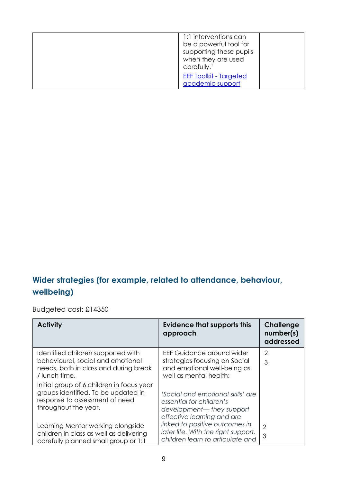| 1:1 interventions can<br>be a powerful tool for<br>supporting these pupils<br>when they are used<br>carefully.' |  |
|-----------------------------------------------------------------------------------------------------------------|--|
| <b>EEF Toolkit - Targeted</b><br>academic support                                                               |  |

### **Wider strategies (for example, related to attendance, behaviour, wellbeing)**

Budgeted cost: £14350

| <b>Activity</b>                                                                                                                            | <b>Evidence that supports this</b><br>approach                                                                          | <b>Challenge</b><br>number(s)<br>addressed |
|--------------------------------------------------------------------------------------------------------------------------------------------|-------------------------------------------------------------------------------------------------------------------------|--------------------------------------------|
| Identified children supported with<br>behavioural, social and emotional<br>needs, both in class and during break<br>/ lunch time.          | EEF Guidance around wider<br>strategies focusing on Social<br>and emotional well-being as<br>well as mental health:     | $\overline{2}$<br>3                        |
| Initial group of 6 children in focus year<br>groups identified. To be updated in<br>response to assessment of need<br>throughout the year. | 'Social and emotional skills' are<br>essential for children's<br>development-they support<br>effective learning and are |                                            |
| Learning Mentor working alongside<br>children in class as well as delivering<br>carefully planned small group or 1:1                       | linked to positive outcomes in<br>later life. With the right support,<br>children learn to articulate and               | $\overline{2}$<br>3                        |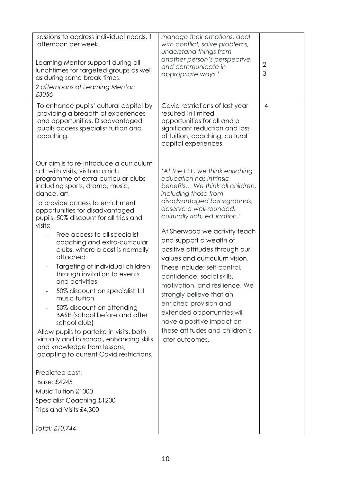| providing a breadth of experiences<br>resulted in limited<br>and opportunities. Disadvantaged<br>opportunities for all and a<br>pupils access specialist tuition and<br>significant reduction and loss<br>coaching.<br>of tuition, coaching, cultural<br>capital experiences.<br>Our aim is to re-introduce a curriculum<br>rich with visits, visitors; a rich<br>'At the EEF, we think enriching<br>education has intrinsic<br>programme of extra-curricular clubs<br>benefits We think all children,<br>including sports, drama, music,<br>dance, art.<br>including those from<br>disadvantaged backgrounds,<br>To provide access to enrichment<br>deserve a well-rounded,<br>opportunities for disadvantaged<br>culturally rich, education.'<br>pupils, 50% discount for all trips and<br>visits:<br>At Sherwood we activity teach<br>Free access to all specialist<br>and support a wealth of<br>coaching and extra-curricular<br>positive attitudes through our<br>clubs, where a cost is normally<br>attached<br>values and curriculum vision.<br>Targeting of individual children<br>These include: self-control.<br>through invitation to events<br>confidence, social skills,<br>and activities<br>motivation, and resilience. We<br>50% discount on specialist 1:1<br>strongly believe that an<br>music tuition<br>enriched provision and | sessions to address individual needs, 1<br>afternoon per week.<br>Learning Mentor support during all<br>lunchtimes for targeted groups as well<br>as during some break times.<br>2 afternoons of Learning Mentor:<br>£3056 | manage their emotions, deal<br>with conflict, solve problems,<br>understand things from<br>another person's perspective,<br>and communicate in<br>appropriate ways.' | $\overline{2}$<br>3 |
|-----------------------------------------------------------------------------------------------------------------------------------------------------------------------------------------------------------------------------------------------------------------------------------------------------------------------------------------------------------------------------------------------------------------------------------------------------------------------------------------------------------------------------------------------------------------------------------------------------------------------------------------------------------------------------------------------------------------------------------------------------------------------------------------------------------------------------------------------------------------------------------------------------------------------------------------------------------------------------------------------------------------------------------------------------------------------------------------------------------------------------------------------------------------------------------------------------------------------------------------------------------------------------------------------------------------------------------------------------|----------------------------------------------------------------------------------------------------------------------------------------------------------------------------------------------------------------------------|----------------------------------------------------------------------------------------------------------------------------------------------------------------------|---------------------|
|                                                                                                                                                                                                                                                                                                                                                                                                                                                                                                                                                                                                                                                                                                                                                                                                                                                                                                                                                                                                                                                                                                                                                                                                                                                                                                                                                     | To enhance pupils' cultural capital by                                                                                                                                                                                     | Covid restrictions of last year                                                                                                                                      | $\overline{4}$      |
| extended opportunities will<br><b>BASE</b> (school before and after<br>have a positive impact on<br>school club)<br>these attitudes and children's<br>Allow pupils to partake in visits, both<br>virtually and in school, enhancing skills<br>later outcomes.<br>and knowledge from lessons,<br>adapting to current Covid restrictions.<br>Predicted cost:<br>Base: £4245<br>Music Tuition £1000<br>Specialist Coaching £1200<br>Trips and Visits £4,300<br>Total: £10,744                                                                                                                                                                                                                                                                                                                                                                                                                                                                                                                                                                                                                                                                                                                                                                                                                                                                          | 50% discount on attending                                                                                                                                                                                                  |                                                                                                                                                                      |                     |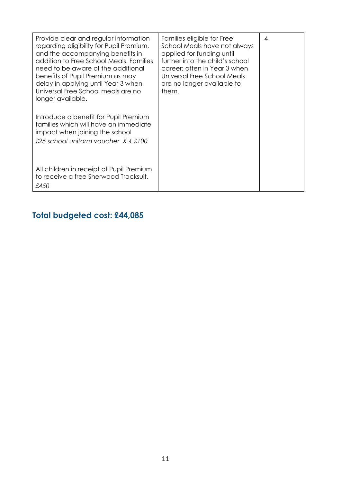| Provide clear and regular information<br>regarding eligibility for Pupil Premium,<br>and the accompanying benefits in<br>addition to Free School Meals, Families<br>need to be aware of the additional<br>benefits of Pupil Premium as may<br>delay in applying until Year 3 when<br>Universal Free School meals are no<br>longer available.<br>Introduce a benefit for Pupil Premium<br>families which will have an immediate<br>impact when joining the school<br>£25 school uniform voucher X 4 £100 | Families eligible for Free<br>School Meals have not always<br>applied for funding until<br>further into the child's school<br>career; often in Year 3 when<br>Universal Free School Meals<br>are no longer available to<br>them. | 4 |
|---------------------------------------------------------------------------------------------------------------------------------------------------------------------------------------------------------------------------------------------------------------------------------------------------------------------------------------------------------------------------------------------------------------------------------------------------------------------------------------------------------|----------------------------------------------------------------------------------------------------------------------------------------------------------------------------------------------------------------------------------|---|
| All children in receipt of Pupil Premium<br>to receive a free Sherwood Tracksuit.<br>£450                                                                                                                                                                                                                                                                                                                                                                                                               |                                                                                                                                                                                                                                  |   |

## **Total budgeted cost: £44,085**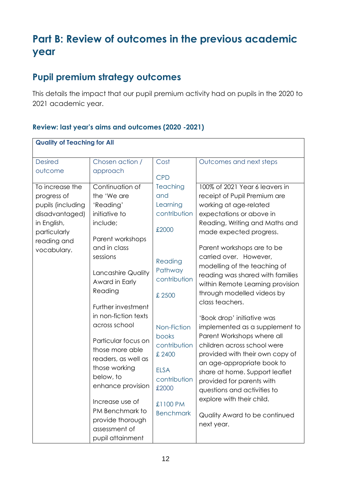# **Part B: Review of outcomes in the previous academic year**

# **Pupil premium strategy outcomes**

This details the impact that our pupil premium activity had on pupils in the 2020 to 2021 academic year.

#### **Review: last year's aims and outcomes (2020 -2021)**

| <b>Quality of Teaching for All</b> |                      |                       |                                  |  |
|------------------------------------|----------------------|-----------------------|----------------------------------|--|
|                                    |                      |                       |                                  |  |
| <b>Desired</b>                     | Chosen action /      | Cost                  | Outcomes and next steps          |  |
| outcome                            | approach             |                       |                                  |  |
|                                    |                      | <b>CPD</b>            |                                  |  |
| To increase the                    | Continuation of      | <b>Teaching</b>       | 100% of 2021 Year 6 leavers in   |  |
| progress of                        | the 'We are          | and                   | receipt of Pupil Premium are     |  |
| pupils (including                  | 'Reading'            | Learning              | working at age-related           |  |
| disadvantaged)                     | initiative to        | contribution          | expectations or above in         |  |
| in English,                        | include;             | £2000                 | Reading, Writing and Maths and   |  |
| particularly                       | Parent workshops     |                       | made expected progress.          |  |
| reading and                        | and in class         |                       | Parent workshops are to be       |  |
| vocabulary.                        | sessions             |                       | carried over. However,           |  |
|                                    |                      | Reading               | modelling of the teaching of     |  |
|                                    | Lancashire Quality   | Pathway               | reading was shared with families |  |
|                                    | Award in Early       | contribution          | within Remote Learning provision |  |
|                                    | Reading              | £ 2500                | through modelled videos by       |  |
|                                    |                      |                       | class teachers.                  |  |
|                                    | Further investment   |                       |                                  |  |
|                                    | in non-fiction texts |                       | 'Book drop' initiative was       |  |
|                                    | across school        | Non-Fiction           | implemented as a supplement to   |  |
|                                    | Particular focus on  | books                 | Parent Workshops where all       |  |
|                                    | those more able      | contribution          | children across school were      |  |
|                                    | readers, as well as  | £ 2400                | provided with their own copy of  |  |
|                                    | those working        |                       | an age-appropriate book to       |  |
|                                    | below, to            | <b>ELSA</b>           | share at home. Support leaflet   |  |
|                                    | enhance provision    | contribution<br>£2000 | provided for parents with        |  |
|                                    |                      |                       | questions and activities to      |  |
|                                    | Increase use of      | £1100 PM              | explore with their child.        |  |
|                                    | PM Benchmark to      | <b>Benchmark</b>      | Quality Award to be continued    |  |
|                                    | provide thorough     |                       | next year.                       |  |
|                                    | assessment of        |                       |                                  |  |
|                                    | pupil attainment     |                       |                                  |  |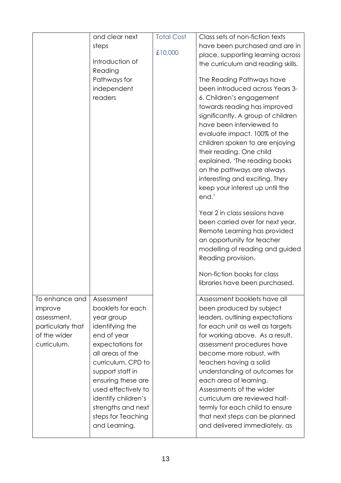|                   | and clear next      | <b>Total Cost</b> | Class sets of non-fiction texts    |
|-------------------|---------------------|-------------------|------------------------------------|
|                   | steps               |                   | have been purchased and are in     |
|                   |                     | £10,000           | place, supporting learning across  |
|                   | Introduction of     |                   | the curriculum and reading skills. |
|                   | Reading             |                   |                                    |
|                   | Pathways for        |                   | The Reading Pathways have          |
|                   | independent         |                   | been introduced across Years 3-    |
|                   | readers             |                   | 6. Children's engagement           |
|                   |                     |                   | towards reading has improved       |
|                   |                     |                   | significantly. A group of children |
|                   |                     |                   | have been interviewed to           |
|                   |                     |                   | evaluate impact. 100% of the       |
|                   |                     |                   | children spoken to are enjoying    |
|                   |                     |                   | their reading. One child           |
|                   |                     |                   | explained, 'The reading books      |
|                   |                     |                   | on the pathways are always         |
|                   |                     |                   | interesting and exciting. They     |
|                   |                     |                   | keep your interest up until the    |
|                   |                     |                   | end.'                              |
|                   |                     |                   | Year 2 in class sessions have      |
|                   |                     |                   | been carried over for next year.   |
|                   |                     |                   | Remote Learning has provided       |
|                   |                     |                   | an opportunity for teacher         |
|                   |                     |                   | modelling of reading and guided    |
|                   |                     |                   | Reading provision.                 |
|                   |                     |                   | Non-fiction books for class        |
|                   |                     |                   | libraries have been purchased.     |
| To enhance and    | Assessment          |                   | Assessment booklets have all       |
| improve           | booklets for each   |                   | been produced by subject           |
| assessment,       | year group          |                   | leaders, outlining expectations    |
| particularly that | identifying the     |                   | for each unit as well as targets   |
| of the wider      | end of year         |                   | for working above. As a result,    |
| curriculum.       | expectations for    |                   | assessment procedures have         |
|                   | all areas of the    |                   | become more robust, with           |
|                   | curriculum. CPD to  |                   | teachers having a solid            |
|                   | support staff in    |                   | understanding of outcomes for      |
|                   | ensuring these are  |                   | each area of learning.             |
|                   | used effectively to |                   | Assessments of the wider           |
|                   | identify children's |                   | curriculum are reviewed half-      |
|                   | strengths and next  |                   | termly for each child to ensure    |
|                   | steps for Teaching  |                   | that next steps can be planned     |
|                   | and Learning.       |                   | and delivered immediately, as      |
|                   |                     |                   |                                    |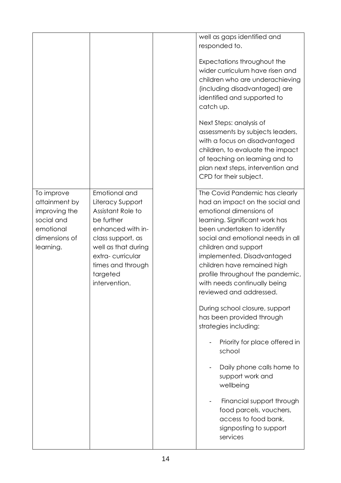|                                                                                                       |                                                                                                                                                                                                             | well as gaps identified and<br>responded to.                                                                                                                                                                                                                                                                                                                                           |
|-------------------------------------------------------------------------------------------------------|-------------------------------------------------------------------------------------------------------------------------------------------------------------------------------------------------------------|----------------------------------------------------------------------------------------------------------------------------------------------------------------------------------------------------------------------------------------------------------------------------------------------------------------------------------------------------------------------------------------|
|                                                                                                       |                                                                                                                                                                                                             | Expectations throughout the<br>wider curriculum have risen and<br>children who are underachieving<br>(including disadvantaged) are<br>identified and supported to<br>catch up.                                                                                                                                                                                                         |
|                                                                                                       |                                                                                                                                                                                                             | Next Steps: analysis of<br>assessments by subjects leaders,<br>with a focus on disadvantaged<br>children, to evaluate the impact<br>of teaching on learning and to<br>plan next steps, intervention and<br>CPD for their subject.                                                                                                                                                      |
| To improve<br>attainment by<br>improving the<br>social and<br>emotional<br>dimensions of<br>learning. | Emotional and<br>Literacy Support<br>Assistant Role to<br>be further<br>enhanced with in-<br>class support, as<br>well as that during<br>extra-curricular<br>times and through<br>targeted<br>intervention. | The Covid Pandemic has clearly<br>had an impact on the social and<br>emotional dimensions of<br>learning. Significant work has<br>been undertaken to identify<br>social and emotional needs in all<br>children and support<br>implemented. Disadvantaged<br>children have remained high<br>profile throughout the pandemic,<br>with needs continually being<br>reviewed and addressed. |
|                                                                                                       |                                                                                                                                                                                                             | During school closure, support<br>has been provided through<br>strategies including:<br>Priority for place offered in                                                                                                                                                                                                                                                                  |
|                                                                                                       |                                                                                                                                                                                                             | school<br>Daily phone calls home to<br>support work and<br>wellbeing                                                                                                                                                                                                                                                                                                                   |
|                                                                                                       |                                                                                                                                                                                                             | Financial support through<br>food parcels, vouchers,<br>access to food bank,<br>signposting to support<br>services                                                                                                                                                                                                                                                                     |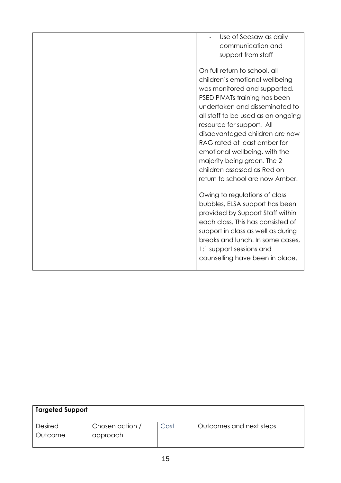| Use of Seesaw as daily<br>communication and<br>support from staff                                                                                                                                                                                                                                                                                                                                                                         |
|-------------------------------------------------------------------------------------------------------------------------------------------------------------------------------------------------------------------------------------------------------------------------------------------------------------------------------------------------------------------------------------------------------------------------------------------|
| On full return to school, all<br>children's emotional wellbeing<br>was monitored and supported.<br>PSED PIVATs training has been<br>undertaken and disseminated to<br>all staff to be used as an ongoing<br>resource for support. All<br>disadvantaged children are now<br>RAG rated at least amber for<br>emotional wellbeing, with the<br>majority being green. The 2<br>children assessed as Red on<br>return to school are now Amber. |
| Owing to regulations of class<br>bubbles, ELSA support has been<br>provided by Support Staff within<br>each class. This has consisted of<br>support in class as well as during<br>breaks and lunch. In some cases,<br>1:1 support sessions and<br>counselling have been in place.                                                                                                                                                         |

| <b>Targeted Support</b>   |                             |      |                         |
|---------------------------|-----------------------------|------|-------------------------|
| <b>Desired</b><br>Outcome | Chosen action /<br>approach | Cost | Outcomes and next steps |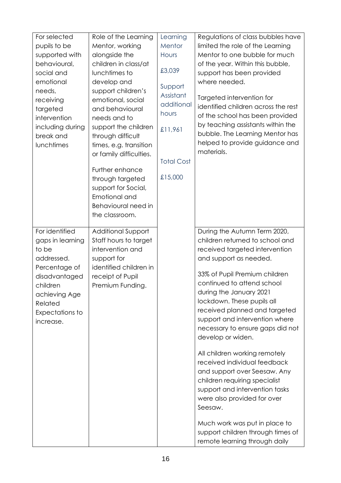| For selected     | Role of the Learning      | Learning             | Regulations of class bubbles have                                  |
|------------------|---------------------------|----------------------|--------------------------------------------------------------------|
| pupils to be     | Mentor, working           | Mentor               | limited the role of the Learning                                   |
| supported with   | alongside the             | Hours                | Mentor to one bubble for much                                      |
| behavioural,     | children in class/at      |                      | of the year. Within this bubble,                                   |
| social and       | lunchtimes to             | £3,039               | support has been provided                                          |
| emotional        | develop and               |                      | where needed.                                                      |
| needs,           | support children's        | Support<br>Assistant |                                                                    |
| receiving        | emotional, social         | additional           | Targeted intervention for                                          |
| targeted         | and behavioural           | hours                | identified children across the rest                                |
| intervention     | needs and to              |                      | of the school has been provided                                    |
| including during | support the children      | £11,961              | by teaching assistants within the                                  |
| break and        | through difficult         |                      | bubble. The Learning Mentor has                                    |
| lunchtimes       | times, e.g. transition    |                      | helped to provide guidance and                                     |
|                  | or family difficulties.   |                      | materials.                                                         |
|                  |                           | <b>Total Cost</b>    |                                                                    |
|                  | Further enhance           | £15,000              |                                                                    |
|                  | through targeted          |                      |                                                                    |
|                  | support for Social,       |                      |                                                                    |
|                  | Emotional and             |                      |                                                                    |
|                  | Behavioural need in       |                      |                                                                    |
|                  | the classroom.            |                      |                                                                    |
| For identified   | <b>Additional Support</b> |                      | During the Autumn Term 2020,                                       |
| gaps in learning | Staff hours to target     |                      | children returned to school and                                    |
| to be            | intervention and          |                      | received targeted intervention                                     |
| addressed.       | support for               |                      | and support as needed.                                             |
| Percentage of    | identified children in    |                      |                                                                    |
| disadvantaged    | receipt of Pupil          |                      | 33% of Pupil Premium children                                      |
| children         | Premium Funding.          |                      | continued to attend school                                         |
| achieving Age    |                           |                      | during the January 2021                                            |
| Related          |                           |                      | lockdown. These pupils all                                         |
| Expectations to  |                           |                      | received planned and targeted                                      |
| increase.        |                           |                      | support and intervention where                                     |
|                  |                           |                      | necessary to ensure gaps did not                                   |
|                  |                           |                      | develop or widen.                                                  |
|                  |                           |                      | All children working remotely                                      |
|                  |                           |                      | received individual feedback                                       |
|                  |                           |                      | and support over Seesaw. Any                                       |
|                  |                           |                      | children requiring specialist                                      |
|                  |                           |                      | support and intervention tasks                                     |
|                  |                           |                      | were also provided for over                                        |
|                  |                           |                      | Seesaw.                                                            |
|                  |                           |                      |                                                                    |
|                  |                           |                      | Much work was put in place to<br>support children through times of |
|                  |                           |                      |                                                                    |
|                  |                           |                      | remote learning through daily                                      |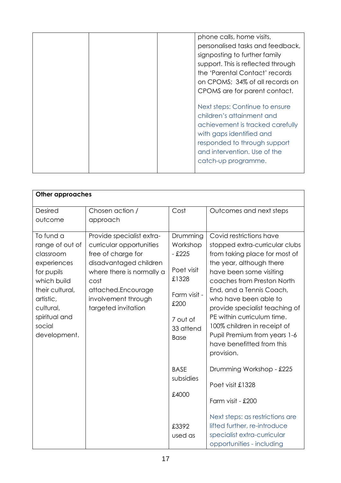| phone calls, home visits,<br>personalised tasks and feedback,<br>signposting to further family<br>support. This is reflected through<br>the 'Parental Contact' records<br>on CPOMS; 34% of all records on<br>CPOMS are for parent contact. |
|--------------------------------------------------------------------------------------------------------------------------------------------------------------------------------------------------------------------------------------------|
| Next steps: Continue to ensure<br>children's attainment and<br>achievement is tracked carefully<br>with gaps identified and<br>responded to through support<br>and intervention. Use of the<br>catch-up programme.                         |

| <b>Other approaches</b>                                                                                                                                                       |                                                                                                                                                                                                                |                                                                                                                         |                                                                                                                                                                                                                                                                                                                                                                                                                |  |
|-------------------------------------------------------------------------------------------------------------------------------------------------------------------------------|----------------------------------------------------------------------------------------------------------------------------------------------------------------------------------------------------------------|-------------------------------------------------------------------------------------------------------------------------|----------------------------------------------------------------------------------------------------------------------------------------------------------------------------------------------------------------------------------------------------------------------------------------------------------------------------------------------------------------------------------------------------------------|--|
| <b>Desired</b><br>outcome                                                                                                                                                     | Chosen action /<br>approach                                                                                                                                                                                    | Cost                                                                                                                    | Outcomes and next steps                                                                                                                                                                                                                                                                                                                                                                                        |  |
| To fund a<br>range of out of<br>classroom<br>experiences<br>for pupils<br>which build<br>their cultural,<br>artistic,<br>cultural,<br>spiritual and<br>social<br>development. | Provide specialist extra-<br>curricular opportunities<br>free of charge for<br>disadvantaged children<br>where there is normally a<br>cost<br>attached.Encourage<br>involvement through<br>targeted invitation | Drumming<br>Workshop<br>$-$ £225<br>Poet visit<br>£1328<br>Farm visit -<br>£200<br>7 out of<br>33 attend<br><b>Base</b> | Covid restrictions have<br>stopped extra-curricular clubs<br>from taking place for most of<br>the year, although there<br>have been some visiting<br>coaches from Preston North<br>End, and a Tennis Coach,<br>who have been able to<br>provide specialist teaching of<br>PE within curriculum time.<br>100% children in receipt of<br>Pupil Premium from years 1-6<br>have benefitted from this<br>provision. |  |
|                                                                                                                                                                               |                                                                                                                                                                                                                | <b>BASE</b><br>subsidies<br>£4000<br>£3392<br>used as                                                                   | Drumming Workshop - £225<br>Poet visit £1328<br>Farm visit - £200<br>Next steps: as restrictions are<br>lifted further, re-introduce<br>specialist extra-curricular<br>opportunities - including                                                                                                                                                                                                               |  |